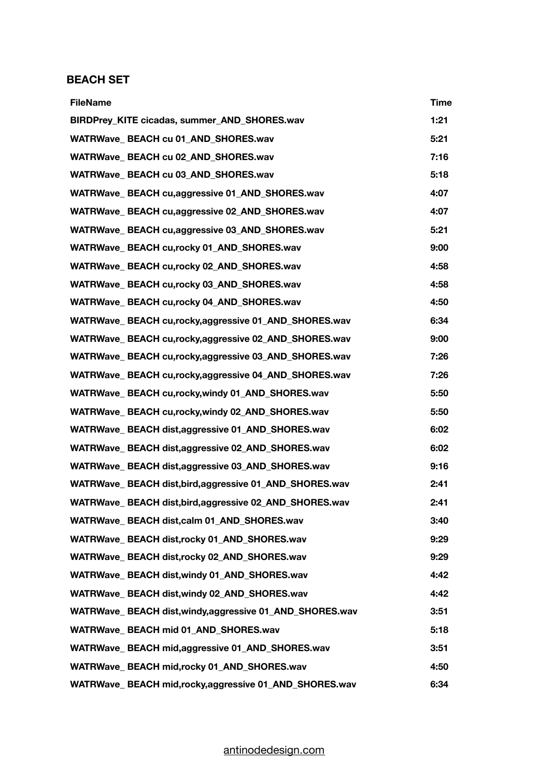## **BEACH SET**

| <b>FileName</b>                                           | <b>Time</b> |
|-----------------------------------------------------------|-------------|
| BIRDPrey_KITE cicadas, summer_AND_SHORES.wav              | 1:21        |
| WATRWave BEACH cu 01 AND SHORES.wav                       | 5:21        |
| WATRWave BEACH cu 02 AND SHORES.wav                       | 7:16        |
| WATRWave_BEACH cu 03_AND_SHORES.wav                       | 5:18        |
| WATRWave_BEACH cu,aggressive 01_AND_SHORES.wav            | 4:07        |
| WATRWave BEACH cu,aggressive 02 AND SHORES.wav            | 4:07        |
| WATRWave_BEACH cu,aggressive 03_AND_SHORES.wav            | 5:21        |
| WATRWave_BEACH cu,rocky 01_AND_SHORES.wav                 | 9:00        |
| WATRWave_BEACH cu,rocky 02_AND_SHORES.wav                 | 4:58        |
| WATRWave BEACH cu,rocky 03 AND SHORES.wav                 | 4:58        |
| WATRWave_BEACH cu,rocky 04_AND_SHORES.wav                 | 4:50        |
| WATRWave_BEACH cu,rocky,aggressive 01_AND_SHORES.wav      | 6:34        |
| WATRWave BEACH cu,rocky,aggressive 02 AND SHORES.wav      | 9:00        |
| WATRWave_BEACH cu,rocky,aggressive 03_AND_SHORES.wav      | 7:26        |
| WATRWave_BEACH cu,rocky,aggressive 04_AND_SHORES.wav      | 7:26        |
| WATRWave_BEACH cu,rocky,windy 01_AND_SHORES.wav           | 5:50        |
| WATRWave BEACH cu,rocky, windy 02 AND SHORES.wav          | 5:50        |
| WATRWave_BEACH dist,aggressive 01_AND_SHORES.wav          | 6:02        |
| WATRWave_BEACH dist,aggressive 02_AND_SHORES.wav          | 6:02        |
| WATRWave_ BEACH dist, aggressive 03_AND_SHORES.wav        | 9:16        |
| WATRWave_BEACH dist, bird, aggressive 01_AND_SHORES.wav   | 2:41        |
| WATRWave_ BEACH dist, bird, aggressive 02_AND_SHORES.wav  | 2:41        |
| WATRWave BEACH dist, calm 01 AND SHORES.wav               | 3:40        |
| WATRWave BEACH dist, rocky 01 AND SHORES.wav              | 9:29        |
| WATRWave BEACH dist, rocky 02 AND SHORES.wav              | 9:29        |
| WATRWave BEACH dist, windy 01 AND SHORES.wav              | 4:42        |
| WATRWave BEACH dist, windy 02 AND SHORES.wav              | 4:42        |
| WATRWave_ BEACH dist, windy, aggressive 01_AND_SHORES.wav | 3:51        |
| WATRWave_BEACH mid 01_AND_SHORES.wav                      | 5:18        |
| WATRWave_BEACH mid,aggressive 01_AND_SHORES.wav           | 3:51        |
| WATRWave BEACH mid, rocky 01 AND SHORES.wav               | 4:50        |
| WATRWave_ BEACH mid, rocky, aggressive 01_AND_SHORES.wav  | 6:34        |

## [antinodedesign.com](http://antinodedesign.com)